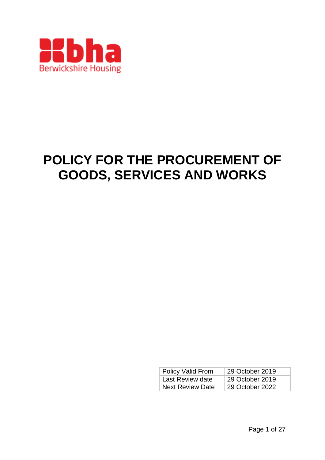

# **POLICY FOR THE PROCUREMENT OF GOODS, SERVICES AND WORKS**

| Policy Valid From       | 29 October 2019 |
|-------------------------|-----------------|
| Last Review date        | 29 October 2019 |
| <b>Next Review Date</b> | 29 October 2022 |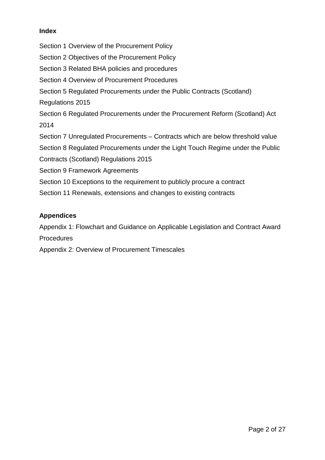# **Index**

Section 1 Overview of the Procurement Policy Section 2 Objectives of the Procurement Policy Section 3 Related BHA policies and procedures Section 4 Overview of Procurement Procedures Section 5 Regulated Procurements under the Public Contracts (Scotland) Regulations 2015 Section 6 Regulated Procurements under the Procurement Reform (Scotland) Act 2014 Section 7 Unregulated Procurements – Contracts which are below threshold value Section 8 Regulated Procurements under the Light Touch Regime under the Public Contracts (Scotland) Regulations 2015 Section 9 Framework Agreements Section 10 Exceptions to the requirement to publicly procure a contract Section 11 Renewals, extensions and changes to existing contracts

# **Appendices**

Appendix 1: Flowchart and Guidance on Applicable Legislation and Contract Award **Procedures** 

Appendix 2: Overview of Procurement Timescales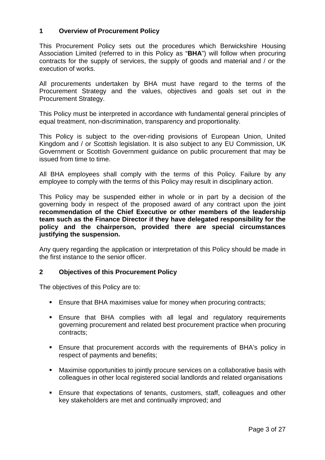# **1 Overview of Procurement Policy**

This Procurement Policy sets out the procedures which Berwickshire Housing Association Limited (referred to in this Policy as "**BHA**") will follow when procuring contracts for the supply of services, the supply of goods and material and / or the execution of works.

All procurements undertaken by BHA must have regard to the terms of the Procurement Strategy and the values, objectives and goals set out in the Procurement Strategy.

This Policy must be interpreted in accordance with fundamental general principles of equal treatment, non-discrimination, transparency and proportionality.

This Policy is subject to the over-riding provisions of European Union, United Kingdom and / or Scottish legislation. It is also subject to any EU Commission, UK Government or Scottish Government guidance on public procurement that may be issued from time to time.

All BHA employees shall comply with the terms of this Policy. Failure by any employee to comply with the terms of this Policy may result in disciplinary action.

This Policy may be suspended either in whole or in part by a decision of the governing body in respect of the proposed award of any contract upon the joint **recommendation of the Chief Executive or other members of the leadership team such as the Finance Director if they have delegated responsibility for the policy and the chairperson, provided there are special circumstances justifying the suspension.** 

Any query regarding the application or interpretation of this Policy should be made in the first instance to the senior officer.

## **2 Objectives of this Procurement Policy**

The objectives of this Policy are to:

- **Ensure that BHA maximises value for money when procuring contracts:**
- Ensure that BHA complies with all legal and regulatory requirements governing procurement and related best procurement practice when procuring contracts;
- Ensure that procurement accords with the requirements of BHA's policy in respect of payments and benefits;
- Maximise opportunities to jointly procure services on a collaborative basis with colleagues in other local registered social landlords and related organisations
- Ensure that expectations of tenants, customers, staff, colleagues and other key stakeholders are met and continually improved; and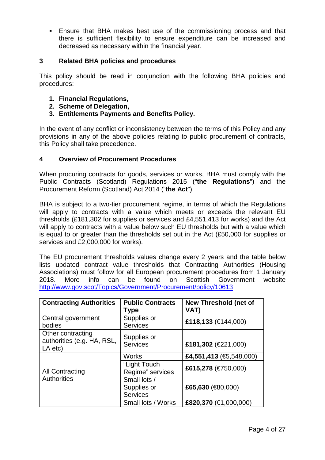Ensure that BHA makes best use of the commissioning process and that there is sufficient flexibility to ensure expenditure can be increased and decreased as necessary within the financial year.

# **3 Related BHA policies and procedures**

This policy should be read in conjunction with the following BHA policies and procedures:

- **1. Financial Regulations,**
- **2. Scheme of Delegation,**
- **3. Entitlements Payments and Benefits Policy.**

In the event of any conflict or inconsistency between the terms of this Policy and any provisions in any of the above policies relating to public procurement of contracts, this Policy shall take precedence.

## **4 Overview of Procurement Procedures**

When procuring contracts for goods, services or works, BHA must comply with the Public Contracts (Scotland) Regulations 2015 ("**the Regulations**") and the Procurement Reform (Scotland) Act 2014 ("**the Act**").

BHA is subject to a two-tier procurement regime, in terms of which the Regulations will apply to contracts with a value which meets or exceeds the relevant EU thresholds (£181,302 for supplies or services and £4,551,413 for works) and the Act will apply to contracts with a value below such EU thresholds but with a value which is equal to or greater than the thresholds set out in the Act (£50,000 for supplies or services and £2,000,000 for works).

The EU procurement thresholds values change every 2 years and the table below lists updated contract value thresholds that Contracting Authorities (Housing Associations) must follow for all European procurement procedures from 1 January 2018. More info can be found on Scottish Government website <http://www.gov.scot/Topics/Government/Procurement/policy/10613>

| <b>Contracting Authorities</b>                             | <b>Public Contracts</b><br>Type                | <b>New Threshold (net of</b><br>VAT)    |  |
|------------------------------------------------------------|------------------------------------------------|-----------------------------------------|--|
| Central government<br>bodies                               | Supplies or<br><b>Services</b>                 | £118,133 (€144,000)                     |  |
| Other contracting<br>authorities (e.g. HA, RSL,<br>LA etc) | Supplies or<br><b>Services</b>                 | £181,302 (€221,000)                     |  |
|                                                            | <b>Works</b>                                   | £4,551,413 ( $\text{ } \in 5,548,000$ ) |  |
| <b>All Contracting</b><br><b>Authorities</b>               | "Light Touch<br>Regime" services               | £615,278 (€750,000)                     |  |
|                                                            | Small lots /<br>Supplies or<br><b>Services</b> | £65,630 (€80,000)                       |  |
|                                                            | Small lots / Works                             | £820,370 (€1,000,000)                   |  |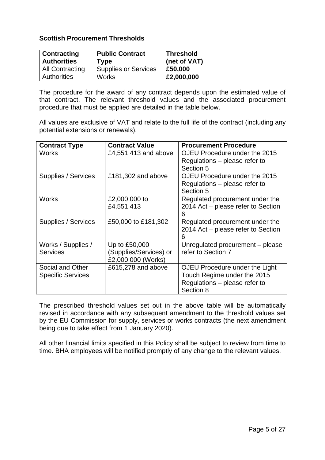# **Scottish Procurement Thresholds**

| <b>Contracting</b><br><b>Authorities</b> | <b>Public Contract</b><br>Type | <b>Threshold</b><br>(net of VAT) |
|------------------------------------------|--------------------------------|----------------------------------|
| <b>All Contracting</b>                   | <b>Supplies or Services</b>    | £50,000                          |
| <b>Authorities</b>                       | <b>Works</b>                   | £2,000,000                       |

The procedure for the award of any contract depends upon the estimated value of that contract. The relevant threshold values and the associated procurement procedure that must be applied are detailed in the table below.

All values are exclusive of VAT and relate to the full life of the contract (including any potential extensions or renewals).

| <b>Contract Type</b>     | <b>Contract Value</b>  | <b>Procurement Procedure</b>               |
|--------------------------|------------------------|--------------------------------------------|
| Works                    | £4,551,413 and above   | OJEU Procedure under the 2015              |
|                          |                        | Regulations – please refer to<br>Section 5 |
| Supplies / Services      | £181,302 and above     | OJEU Procedure under the 2015              |
|                          |                        | Regulations – please refer to<br>Section 5 |
| Works                    | £2,000,000 to          | Regulated procurement under the            |
|                          | £4,551,413             | 2014 Act - please refer to Section<br>6    |
| Supplies / Services      | £50,000 to £181,302    | Regulated procurement under the            |
|                          |                        | 2014 Act - please refer to Section<br>6    |
| Works / Supplies /       | Up to £50,000          | Unregulated procurement - please           |
| <b>Services</b>          | (Supplies/Services) or | refer to Section 7                         |
|                          | £2,000,000 (Works)     |                                            |
| Social and Other         | £615,278 and above     | OJEU Procedure under the Light             |
| <b>Specific Services</b> |                        | Touch Regime under the 2015                |
|                          |                        | Regulations - please refer to              |
|                          |                        | Section 8                                  |

The prescribed threshold values set out in the above table will be automatically revised in accordance with any subsequent amendment to the threshold values set by the EU Commission for supply, services or works contracts (the next amendment being due to take effect from 1 January 2020).

All other financial limits specified in this Policy shall be subject to review from time to time. BHA employees will be notified promptly of any change to the relevant values.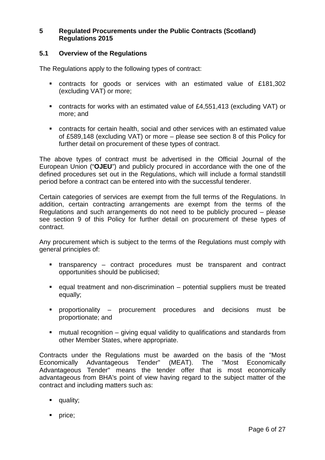# **5 Regulated Procurements under the Public Contracts (Scotland) Regulations 2015**

# **5.1 Overview of the Regulations**

The Regulations apply to the following types of contract:

- contracts for goods or services with an estimated value of £181,302 (excluding VAT) or more;
- contracts for works with an estimated value of £4,551,413 (excluding VAT) or more; and
- contracts for certain health, social and other services with an estimated value of £589,148 (excluding VAT) or more – please see section 8 of this Policy for further detail on procurement of these types of contract.

The above types of contract must be advertised in the Official Journal of the European Union ("**OJEU**") and publicly procured in accordance with the one of the defined procedures set out in the Regulations, which will include a formal standstill period before a contract can be entered into with the successful tenderer.

Certain categories of services are exempt from the full terms of the Regulations. In addition, certain contracting arrangements are exempt from the terms of the Regulations and such arrangements do not need to be publicly procured – please see section 9 of this Policy for further detail on procurement of these types of contract.

Any procurement which is subject to the terms of the Regulations must comply with general principles of:

- transparency contract procedures must be transparent and contract opportunities should be publicised;
- equal treatment and non-discrimination potential suppliers must be treated equally;
- proportionality procurement procedures and decisions must be proportionate; and
- mutual recognition giving equal validity to qualifications and standards from other Member States, where appropriate.

Contracts under the Regulations must be awarded on the basis of the "Most Economically Advantageous Tender" (MEAT). The "Most Economically Advantageous Tender" means the tender offer that is most economically advantageous from BHA's point of view having regard to the subject matter of the contract and including matters such as:

- **quality**;
- **price**;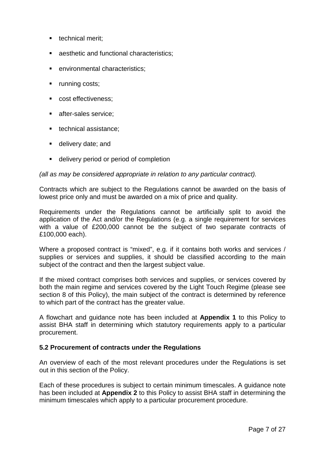- $\blacksquare$  technical merit:
- **a** aesthetic and functional characteristics;
- environmental characteristics;
- **•** running costs;
- cost effectiveness;
- **after-sales service;**
- technical assistance:
- **delivery date; and**
- delivery period or period of completion

#### *(all as may be considered appropriate in relation to any particular contract).*

Contracts which are subject to the Regulations cannot be awarded on the basis of lowest price only and must be awarded on a mix of price and quality.

Requirements under the Regulations cannot be artificially split to avoid the application of the Act and/or the Regulations (e.g. a single requirement for services with a value of £200,000 cannot be the subject of two separate contracts of £100,000 each).

Where a proposed contract is "mixed", e.g. if it contains both works and services / supplies or services and supplies, it should be classified according to the main subject of the contract and then the largest subject value.

If the mixed contract comprises both services and supplies, or services covered by both the main regime and services covered by the Light Touch Regime (please see section 8 of this Policy), the main subject of the contract is determined by reference to which part of the contract has the greater value.

A flowchart and guidance note has been included at **Appendix 1** to this Policy to assist BHA staff in determining which statutory requirements apply to a particular procurement.

## **5.2 Procurement of contracts under the Regulations**

An overview of each of the most relevant procedures under the Regulations is set out in this section of the Policy.

Each of these procedures is subject to certain minimum timescales. A guidance note has been included at **Appendix 2** to this Policy to assist BHA staff in determining the minimum timescales which apply to a particular procurement procedure.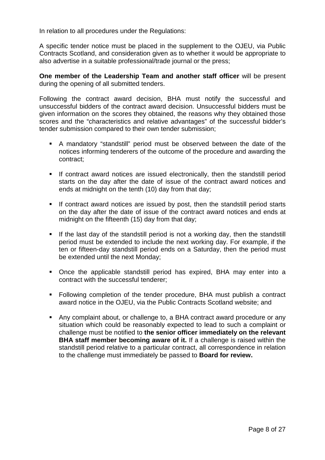In relation to all procedures under the Regulations:

A specific tender notice must be placed in the supplement to the OJEU, via Public Contracts Scotland, and consideration given as to whether it would be appropriate to also advertise in a suitable professional/trade journal or the press;

**One member of the Leadership Team and another staff officer** will be present during the opening of all submitted tenders.

Following the contract award decision, BHA must notify the successful and unsuccessful bidders of the contract award decision. Unsuccessful bidders must be given information on the scores they obtained, the reasons why they obtained those scores and the "characteristics and relative advantages" of the successful bidder's tender submission compared to their own tender submission;

- A mandatory "standstill" period must be observed between the date of the notices informing tenderers of the outcome of the procedure and awarding the contract;
- If contract award notices are issued electronically, then the standstill period starts on the day after the date of issue of the contract award notices and ends at midnight on the tenth (10) day from that day;
- If contract award notices are issued by post, then the standstill period starts on the day after the date of issue of the contract award notices and ends at midnight on the fifteenth (15) day from that day;
- If the last day of the standstill period is not a working day, then the standstill period must be extended to include the next working day. For example, if the ten or fifteen-day standstill period ends on a Saturday, then the period must be extended until the next Monday;
- Once the applicable standstill period has expired, BHA may enter into a contract with the successful tenderer;
- **Following completion of the tender procedure, BHA must publish a contract** award notice in the OJEU, via the Public Contracts Scotland website; and
- Any complaint about, or challenge to, a BHA contract award procedure or any situation which could be reasonably expected to lead to such a complaint or challenge must be notified to **the senior officer immediately on the relevant BHA staff member becoming aware of it.** If a challenge is raised within the standstill period relative to a particular contract, all correspondence in relation to the challenge must immediately be passed to **Board for review.**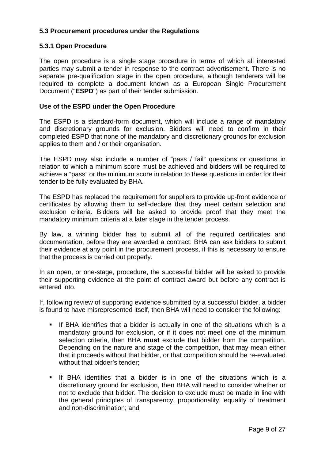# **5.3 Procurement procedures under the Regulations**

# **5.3.1 Open Procedure**

The open procedure is a single stage procedure in terms of which all interested parties may submit a tender in response to the contract advertisement. There is no separate pre-qualification stage in the open procedure, although tenderers will be required to complete a document known as a European Single Procurement Document ("**ESPD**") as part of their tender submission.

#### **Use of the ESPD under the Open Procedure**

The ESPD is a standard-form document, which will include a range of mandatory and discretionary grounds for exclusion. Bidders will need to confirm in their completed ESPD that none of the mandatory and discretionary grounds for exclusion applies to them and / or their organisation.

The ESPD may also include a number of "pass / fail" questions or questions in relation to which a minimum score must be achieved and bidders will be required to achieve a "pass" or the minimum score in relation to these questions in order for their tender to be fully evaluated by BHA.

The ESPD has replaced the requirement for suppliers to provide up-front evidence or certificates by allowing them to self-declare that they meet certain selection and exclusion criteria. Bidders will be asked to provide proof that they meet the mandatory minimum criteria at a later stage in the tender process.

By law, a winning bidder has to submit all of the required certificates and documentation, before they are awarded a contract. BHA can ask bidders to submit their evidence at any point in the procurement process, if this is necessary to ensure that the process is carried out properly.

In an open, or one-stage, procedure, the successful bidder will be asked to provide their supporting evidence at the point of contract award but before any contract is entered into.

If, following review of supporting evidence submitted by a successful bidder, a bidder is found to have misrepresented itself, then BHA will need to consider the following:

- If BHA identifies that a bidder is actually in one of the situations which is a mandatory ground for exclusion, or if it does not meet one of the minimum selection criteria, then BHA **must** exclude that bidder from the competition. Depending on the nature and stage of the competition, that may mean either that it proceeds without that bidder, or that competition should be re-evaluated without that bidder's tender;
- **If BHA identifies that a bidder is in one of the situations which is a** discretionary ground for exclusion, then BHA will need to consider whether or not to exclude that bidder. The decision to exclude must be made in line with the general principles of transparency, proportionality, equality of treatment and non-discrimination; and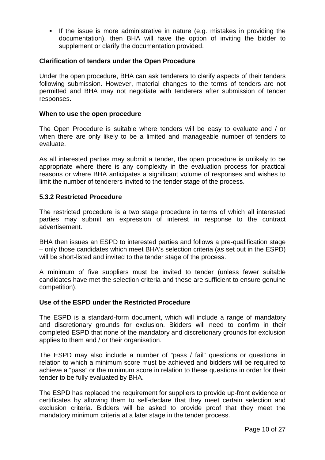If the issue is more administrative in nature (e.g. mistakes in providing the documentation), then BHA will have the option of inviting the bidder to supplement or clarify the documentation provided.

#### **Clarification of tenders under the Open Procedure**

Under the open procedure, BHA can ask tenderers to clarify aspects of their tenders following submission. However, material changes to the terms of tenders are not permitted and BHA may not negotiate with tenderers after submission of tender responses.

#### **When to use the open procedure**

The Open Procedure is suitable where tenders will be easy to evaluate and / or when there are only likely to be a limited and manageable number of tenders to evaluate.

As all interested parties may submit a tender, the open procedure is unlikely to be appropriate where there is any complexity in the evaluation process for practical reasons or where BHA anticipates a significant volume of responses and wishes to limit the number of tenderers invited to the tender stage of the process.

## **5.3.2 Restricted Procedure**

The restricted procedure is a two stage procedure in terms of which all interested parties may submit an expression of interest in response to the contract advertisement.

BHA then issues an ESPD to interested parties and follows a pre-qualification stage – only those candidates which meet BHA's selection criteria (as set out in the ESPD) will be short-listed and invited to the tender stage of the process.

A minimum of five suppliers must be invited to tender (unless fewer suitable candidates have met the selection criteria and these are sufficient to ensure genuine competition).

#### **Use of the ESPD under the Restricted Procedure**

The ESPD is a standard-form document, which will include a range of mandatory and discretionary grounds for exclusion. Bidders will need to confirm in their completed ESPD that none of the mandatory and discretionary grounds for exclusion applies to them and / or their organisation.

The ESPD may also include a number of "pass / fail" questions or questions in relation to which a minimum score must be achieved and bidders will be required to achieve a "pass" or the minimum score in relation to these questions in order for their tender to be fully evaluated by BHA.

The ESPD has replaced the requirement for suppliers to provide up-front evidence or certificates by allowing them to self-declare that they meet certain selection and exclusion criteria. Bidders will be asked to provide proof that they meet the mandatory minimum criteria at a later stage in the tender process.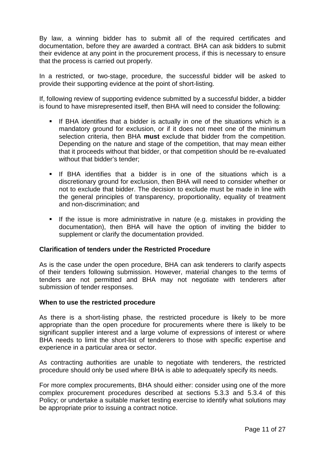By law, a winning bidder has to submit all of the required certificates and documentation, before they are awarded a contract. BHA can ask bidders to submit their evidence at any point in the procurement process, if this is necessary to ensure that the process is carried out properly.

In a restricted, or two-stage, procedure, the successful bidder will be asked to provide their supporting evidence at the point of short-listing.

If, following review of supporting evidence submitted by a successful bidder, a bidder is found to have misrepresented itself, then BHA will need to consider the following:

- If BHA identifies that a bidder is actually in one of the situations which is a mandatory ground for exclusion, or if it does not meet one of the minimum selection criteria, then BHA **must** exclude that bidder from the competition. Depending on the nature and stage of the competition, that may mean either that it proceeds without that bidder, or that competition should be re-evaluated without that bidder's tender;
- **If BHA identifies that a bidder is in one of the situations which is a** discretionary ground for exclusion, then BHA will need to consider whether or not to exclude that bidder. The decision to exclude must be made in line with the general principles of transparency, proportionality, equality of treatment and non-discrimination; and
- If the issue is more administrative in nature (e.g. mistakes in providing the documentation), then BHA will have the option of inviting the bidder to supplement or clarify the documentation provided.

## **Clarification of tenders under the Restricted Procedure**

As is the case under the open procedure, BHA can ask tenderers to clarify aspects of their tenders following submission. However, material changes to the terms of tenders are not permitted and BHA may not negotiate with tenderers after submission of tender responses.

#### **When to use the restricted procedure**

As there is a short-listing phase, the restricted procedure is likely to be more appropriate than the open procedure for procurements where there is likely to be significant supplier interest and a large volume of expressions of interest or where BHA needs to limit the short-list of tenderers to those with specific expertise and experience in a particular area or sector.

As contracting authorities are unable to negotiate with tenderers, the restricted procedure should only be used where BHA is able to adequately specify its needs.

For more complex procurements, BHA should either: consider using one of the more complex procurement procedures described at sections 5.3.3 and 5.3.4 of this Policy; or undertake a suitable market testing exercise to identify what solutions may be appropriate prior to issuing a contract notice.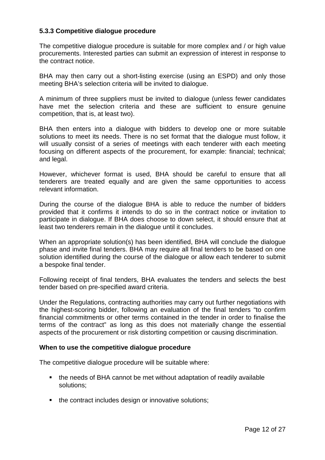# **5.3.3 Competitive dialogue procedure**

The competitive dialogue procedure is suitable for more complex and / or high value procurements. Interested parties can submit an expression of interest in response to the contract notice.

BHA may then carry out a short-listing exercise (using an ESPD) and only those meeting BHA's selection criteria will be invited to dialogue.

A minimum of three suppliers must be invited to dialogue (unless fewer candidates have met the selection criteria and these are sufficient to ensure genuine competition, that is, at least two).

BHA then enters into a dialogue with bidders to develop one or more suitable solutions to meet its needs. There is no set format that the dialogue must follow, it will usually consist of a series of meetings with each tenderer with each meeting focusing on different aspects of the procurement, for example: financial; technical; and legal.

However, whichever format is used, BHA should be careful to ensure that all tenderers are treated equally and are given the same opportunities to access relevant information.

During the course of the dialogue BHA is able to reduce the number of bidders provided that it confirms it intends to do so in the contract notice or invitation to participate in dialogue. If BHA does choose to down select, it should ensure that at least two tenderers remain in the dialogue until it concludes.

When an appropriate solution(s) has been identified, BHA will conclude the dialogue phase and invite final tenders. BHA may require all final tenders to be based on one solution identified during the course of the dialogue or allow each tenderer to submit a bespoke final tender.

Following receipt of final tenders, BHA evaluates the tenders and selects the best tender based on pre-specified award criteria.

Under the Regulations, contracting authorities may carry out further negotiations with the highest-scoring bidder, following an evaluation of the final tenders "to confirm financial commitments or other terms contained in the tender in order to finalise the terms of the contract" as long as this does not materially change the essential aspects of the procurement or risk distorting competition or causing discrimination.

#### **When to use the competitive dialogue procedure**

The competitive dialogue procedure will be suitable where:

- the needs of BHA cannot be met without adaptation of readily available solutions;
- the contract includes design or innovative solutions;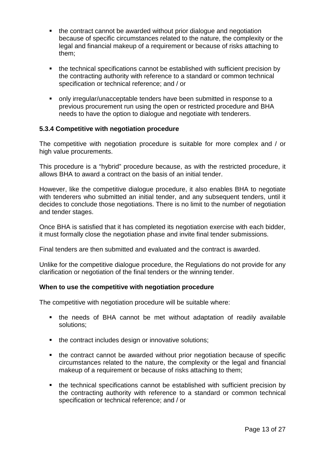- the contract cannot be awarded without prior dialogue and negotiation because of specific circumstances related to the nature, the complexity or the legal and financial makeup of a requirement or because of risks attaching to them;
- the technical specifications cannot be established with sufficient precision by the contracting authority with reference to a standard or common technical specification or technical reference; and / or
- only irregular/unacceptable tenders have been submitted in response to a previous procurement run using the open or restricted procedure and BHA needs to have the option to dialogue and negotiate with tenderers.

# **5.3.4 Competitive with negotiation procedure**

The competitive with negotiation procedure is suitable for more complex and / or high value procurements.

This procedure is a "hybrid" procedure because, as with the restricted procedure, it allows BHA to award a contract on the basis of an initial tender.

However, like the competitive dialogue procedure, it also enables BHA to negotiate with tenderers who submitted an initial tender, and any subsequent tenders, until it decides to conclude those negotiations. There is no limit to the number of negotiation and tender stages.

Once BHA is satisfied that it has completed its negotiation exercise with each bidder, it must formally close the negotiation phase and invite final tender submissions.

Final tenders are then submitted and evaluated and the contract is awarded.

Unlike for the competitive dialogue procedure, the Regulations do not provide for any clarification or negotiation of the final tenders or the winning tender.

## **When to use the competitive with negotiation procedure**

The competitive with negotiation procedure will be suitable where:

- the needs of BHA cannot be met without adaptation of readily available solutions;
- the contract includes design or innovative solutions;
- the contract cannot be awarded without prior negotiation because of specific circumstances related to the nature, the complexity or the legal and financial makeup of a requirement or because of risks attaching to them;
- the technical specifications cannot be established with sufficient precision by the contracting authority with reference to a standard or common technical specification or technical reference; and / or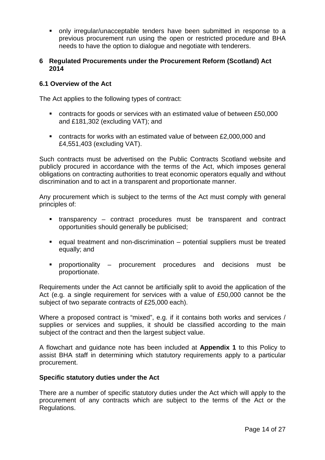only irregular/unacceptable tenders have been submitted in response to a previous procurement run using the open or restricted procedure and BHA needs to have the option to dialogue and negotiate with tenderers.

#### **6 Regulated Procurements under the Procurement Reform (Scotland) Act 2014**

# **6.1 Overview of the Act**

The Act applies to the following types of contract:

- contracts for goods or services with an estimated value of between £50,000 and £181,302 (excluding VAT); and
- contracts for works with an estimated value of between £2,000,000 and £4,551,403 (excluding VAT).

Such contracts must be advertised on the Public Contracts Scotland website and publicly procured in accordance with the terms of the Act, which imposes general obligations on contracting authorities to treat economic operators equally and without discrimination and to act in a transparent and proportionate manner.

Any procurement which is subject to the terms of the Act must comply with general principles of:

- transparency contract procedures must be transparent and contract opportunities should generally be publicised;
- equal treatment and non-discrimination potential suppliers must be treated equally; and
- proportionality procurement procedures and decisions must be proportionate.

Requirements under the Act cannot be artificially split to avoid the application of the Act (e.g. a single requirement for services with a value of £50,000 cannot be the subject of two separate contracts of £25,000 each).

Where a proposed contract is "mixed", e.g. if it contains both works and services / supplies or services and supplies, it should be classified according to the main subject of the contract and then the largest subject value.

A flowchart and guidance note has been included at **Appendix 1** to this Policy to assist BHA staff in determining which statutory requirements apply to a particular procurement.

## **Specific statutory duties under the Act**

There are a number of specific statutory duties under the Act which will apply to the procurement of any contracts which are subject to the terms of the Act or the Regulations.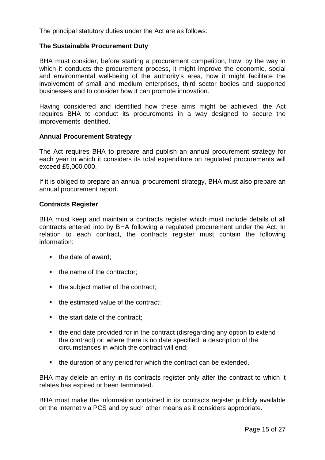The principal statutory duties under the Act are as follows:

#### **The Sustainable Procurement Duty**

BHA must consider, before starting a procurement competition, how, by the way in which it conducts the procurement process, it might improve the economic, social and environmental well-being of the authority's area, how it might facilitate the involvement of small and medium enterprises, third sector bodies and supported businesses and to consider how it can promote innovation.

Having considered and identified how these aims might be achieved, the Act requires BHA to conduct its procurements in a way designed to secure the improvements identified.

#### **Annual Procurement Strategy**

The Act requires BHA to prepare and publish an annual procurement strategy for each year in which it considers its total expenditure on regulated procurements will exceed £5,000,000.

If it is obliged to prepare an annual procurement strategy, BHA must also prepare an annual procurement report.

#### **Contracts Register**

BHA must keep and maintain a contracts register which must include details of all contracts entered into by BHA following a regulated procurement under the Act. In relation to each contract, the contracts register must contain the following information:

- $\blacksquare$  the date of award;
- the name of the contractor;
- the subject matter of the contract;
- the estimated value of the contract:
- $\blacksquare$  the start date of the contract:
- the end date provided for in the contract (disregarding any option to extend the contract) or, where there is no date specified, a description of the circumstances in which the contract will end;
- the duration of any period for which the contract can be extended.

BHA may delete an entry in its contracts register only after the contract to which it relates has expired or been terminated.

BHA must make the information contained in its contracts register publicly available on the internet via PCS and by such other means as it considers appropriate.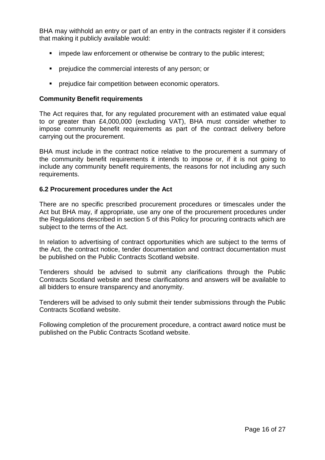BHA may withhold an entry or part of an entry in the contracts register if it considers that making it publicly available would:

- **EXECT** impede law enforcement or otherwise be contrary to the public interest;
- **PERITE:** prejudice the commercial interests of any person; or
- prejudice fair competition between economic operators.

#### **Community Benefit requirements**

The Act requires that, for any regulated procurement with an estimated value equal to or greater than £4,000,000 (excluding VAT), BHA must consider whether to impose community benefit requirements as part of the contract delivery before carrying out the procurement.

BHA must include in the contract notice relative to the procurement a summary of the community benefit requirements it intends to impose or, if it is not going to include any community benefit requirements, the reasons for not including any such requirements.

#### **6.2 Procurement procedures under the Act**

There are no specific prescribed procurement procedures or timescales under the Act but BHA may, if appropriate, use any one of the procurement procedures under the Regulations described in section 5 of this Policy for procuring contracts which are subject to the terms of the Act.

In relation to advertising of contract opportunities which are subject to the terms of the Act, the contract notice, tender documentation and contract documentation must be published on the Public Contracts Scotland website.

Tenderers should be advised to submit any clarifications through the Public Contracts Scotland website and these clarifications and answers will be available to all bidders to ensure transparency and anonymity.

Tenderers will be advised to only submit their tender submissions through the Public Contracts Scotland website.

Following completion of the procurement procedure, a contract award notice must be published on the Public Contracts Scotland website.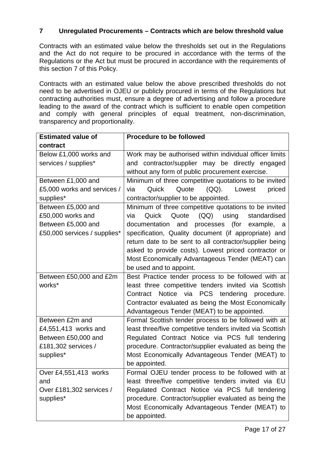# **7 Unregulated Procurements – Contracts which are below threshold value**

Contracts with an estimated value below the thresholds set out in the Regulations and the Act do not require to be procured in accordance with the terms of the Regulations or the Act but must be procured in accordance with the requirements of this section 7 of this Policy.

Contracts with an estimated value below the above prescribed thresholds do not need to be advertised in OJEU or publicly procured in terms of the Regulations but contracting authorities must, ensure a degree of advertising and follow a procedure leading to the award of the contract which is sufficient to enable open competition and comply with general principles of equal treatment, non-discrimination, transparency and proportionality.

| <b>Estimated value of</b>    | <b>Procedure to be followed</b>                           |
|------------------------------|-----------------------------------------------------------|
| contract                     |                                                           |
| Below £1,000 works and       | Work may be authorised within individual officer limits   |
| services / supplies*         | and contractor/supplier may be directly engaged           |
|                              | without any form of public procurement exercise.          |
| Between £1,000 and           | Minimum of three competitive quotations to be invited     |
| £5,000 works and services /  | Quick<br>$(QQ)$ .<br>Quote<br>Lowest<br>priced<br>via     |
| supplies*                    | contractor/supplier to be appointed.                      |
| Between £5,000 and           | Minimum of three competitive quotations to be invited     |
| £50,000 works and            | Quote<br>(QQ)<br>Quick<br>using<br>standardised<br>via    |
| Between £5,000 and           | documentation<br>processes (for<br>and<br>example,<br>a   |
| £50,000 services / supplies* | specification, Quality document (if appropriate) and      |
|                              | return date to be sent to all contractor/supplier being   |
|                              | asked to provide costs). Lowest priced contractor or      |
|                              | Most Economically Advantageous Tender (MEAT) can          |
|                              | be used and to appoint.                                   |
| Between £50,000 and £2m      | Best Practice tender process to be followed with at       |
| works*                       | least three competitive tenders invited via Scottish      |
|                              | Notice via PCS tendering<br>Contract<br>procedure.        |
|                              | Contractor evaluated as being the Most Economically       |
|                              | Advantageous Tender (MEAT) to be appointed.               |
| Between £2m and              | Formal Scottish tender process to be followed with at     |
| £4,551,413 works and         | least three/five competitive tenders invited via Scottish |
| Between £50,000 and          | Regulated Contract Notice via PCS full tendering          |
| £181,302 services /          | procedure. Contractor/supplier evaluated as being the     |
| supplies*                    | Most Economically Advantageous Tender (MEAT) to           |
|                              | be appointed.                                             |
| Over £4,551,413 works        | Formal OJEU tender process to be followed with at         |
| and                          | least three/five competitive tenders invited via EU       |
| Over £181,302 services /     | Regulated Contract Notice via PCS full tendering          |
| supplies*                    | procedure. Contractor/supplier evaluated as being the     |
|                              | Most Economically Advantageous Tender (MEAT) to           |
|                              | be appointed.                                             |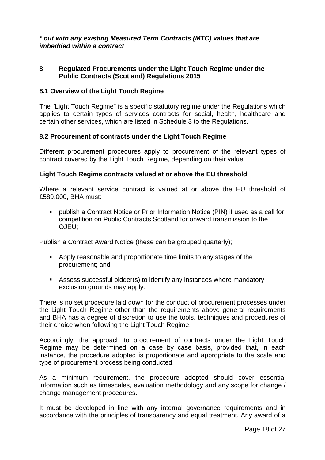# *\* out with any existing Measured Term Contracts (MTC) values that are imbedded within a contract*

#### **8 Regulated Procurements under the Light Touch Regime under the Public Contracts (Scotland) Regulations 2015**

## **8.1 Overview of the Light Touch Regime**

The "Light Touch Regime" is a specific statutory regime under the Regulations which applies to certain types of services contracts for social, health, healthcare and certain other services, which are listed in Schedule 3 to the Regulations.

#### **8.2 Procurement of contracts under the Light Touch Regime**

Different procurement procedures apply to procurement of the relevant types of contract covered by the Light Touch Regime, depending on their value.

#### **Light Touch Regime contracts valued at or above the EU threshold**

Where a relevant service contract is valued at or above the EU threshold of £589,000, BHA must:

 publish a Contract Notice or Prior Information Notice (PIN) if used as a call for competition on Public Contracts Scotland for onward transmission to the OJEU;

Publish a Contract Award Notice (these can be grouped quarterly);

- Apply reasonable and proportionate time limits to any stages of the procurement; and
- Assess successful bidder(s) to identify any instances where mandatory exclusion grounds may apply.

There is no set procedure laid down for the conduct of procurement processes under the Light Touch Regime other than the requirements above general requirements and BHA has a degree of discretion to use the tools, techniques and procedures of their choice when following the Light Touch Regime.

Accordingly, the approach to procurement of contracts under the Light Touch Regime may be determined on a case by case basis, provided that, in each instance, the procedure adopted is proportionate and appropriate to the scale and type of procurement process being conducted.

As a minimum requirement, the procedure adopted should cover essential information such as timescales, evaluation methodology and any scope for change / change management procedures.

It must be developed in line with any internal governance requirements and in accordance with the principles of transparency and equal treatment. Any award of a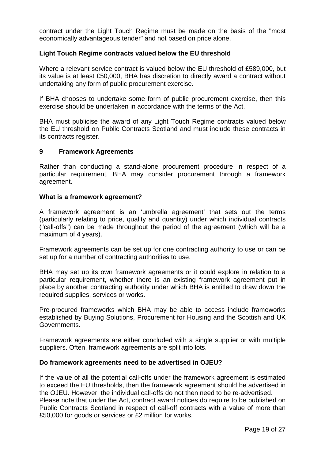contract under the Light Touch Regime must be made on the basis of the "most economically advantageous tender" and not based on price alone.

# **Light Touch Regime contracts valued below the EU threshold**

Where a relevant service contract is valued below the EU threshold of £589,000, but its value is at least £50,000, BHA has discretion to directly award a contract without undertaking any form of public procurement exercise.

If BHA chooses to undertake some form of public procurement exercise, then this exercise should be undertaken in accordance with the terms of the Act.

BHA must publicise the award of any Light Touch Regime contracts valued below the EU threshold on Public Contracts Scotland and must include these contracts in its contracts register.

#### **9 Framework Agreements**

Rather than conducting a stand-alone procurement procedure in respect of a particular requirement, BHA may consider procurement through a framework agreement.

#### **What is a framework agreement?**

A framework agreement is an 'umbrella agreement' that sets out the terms (particularly relating to price, quality and quantity) under which individual contracts ("call-offs") can be made throughout the period of the agreement (which will be a maximum of 4 years).

Framework agreements can be set up for one contracting authority to use or can be set up for a number of contracting authorities to use.

BHA may set up its own framework agreements or it could explore in relation to a particular requirement, whether there is an existing framework agreement put in place by another contracting authority under which BHA is entitled to draw down the required supplies, services or works.

Pre-procured frameworks which BHA may be able to access include frameworks established by Buying Solutions, Procurement for Housing and the Scottish and UK Governments.

Framework agreements are either concluded with a single supplier or with multiple suppliers. Often, framework agreements are split into lots.

## **Do framework agreements need to be advertised in OJEU?**

If the value of all the potential call-offs under the framework agreement is estimated to exceed the EU thresholds, then the framework agreement should be advertised in the OJEU. However, the individual call-offs do not then need to be re-advertised. Please note that under the Act, contract award notices do require to be published on Public Contracts Scotland in respect of call-off contracts with a value of more than £50,000 for goods or services or £2 million for works.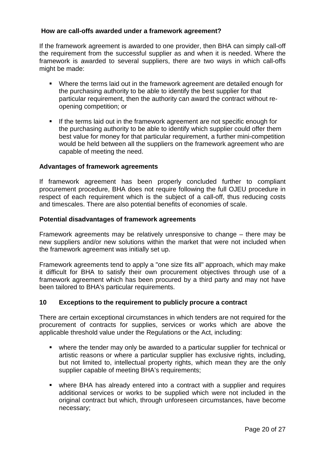# **How are call-offs awarded under a framework agreement?**

If the framework agreement is awarded to one provider, then BHA can simply call-off the requirement from the successful supplier as and when it is needed. Where the framework is awarded to several suppliers, there are two ways in which call-offs might be made:

- Where the terms laid out in the framework agreement are detailed enough for the purchasing authority to be able to identify the best supplier for that particular requirement, then the authority can award the contract without reopening competition; or
- If the terms laid out in the framework agreement are not specific enough for the purchasing authority to be able to identify which supplier could offer them best value for money for that particular requirement, a further mini-competition would be held between all the suppliers on the framework agreement who are capable of meeting the need.

# **Advantages of framework agreements**

If framework agreement has been properly concluded further to compliant procurement procedure, BHA does not require following the full OJEU procedure in respect of each requirement which is the subject of a call-off, thus reducing costs and timescales. There are also potential benefits of economies of scale.

## **Potential disadvantages of framework agreements**

Framework agreements may be relatively unresponsive to change – there may be new suppliers and/or new solutions within the market that were not included when the framework agreement was initially set up.

Framework agreements tend to apply a "one size fits all" approach, which may make it difficult for BHA to satisfy their own procurement objectives through use of a framework agreement which has been procured by a third party and may not have been tailored to BHA's particular requirements.

## **10 Exceptions to the requirement to publicly procure a contract**

There are certain exceptional circumstances in which tenders are not required for the procurement of contracts for supplies, services or works which are above the applicable threshold value under the Regulations or the Act, including:

- where the tender may only be awarded to a particular supplier for technical or artistic reasons or where a particular supplier has exclusive rights, including, but not limited to, intellectual property rights, which mean they are the only supplier capable of meeting BHA's requirements;
- where BHA has already entered into a contract with a supplier and requires additional services or works to be supplied which were not included in the original contract but which, through unforeseen circumstances, have become necessary;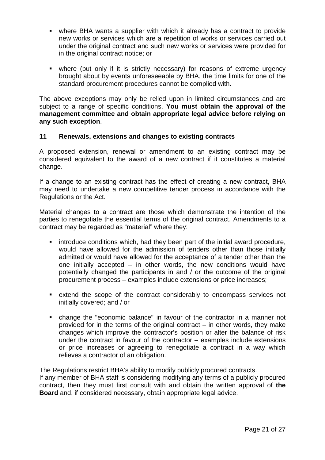- where BHA wants a supplier with which it already has a contract to provide new works or services which are a repetition of works or services carried out under the original contract and such new works or services were provided for in the original contract notice; or
- where (but only if it is strictly necessary) for reasons of extreme urgency brought about by events unforeseeable by BHA, the time limits for one of the standard procurement procedures cannot be complied with.

The above exceptions may only be relied upon in limited circumstances and are subject to a range of specific conditions. **You must obtain the approval of the management committee and obtain appropriate legal advice before relying on any such exception**.

## **11 Renewals, extensions and changes to existing contracts**

A proposed extension, renewal or amendment to an existing contract may be considered equivalent to the award of a new contract if it constitutes a material change.

If a change to an existing contract has the effect of creating a new contract, BHA may need to undertake a new competitive tender process in accordance with the Regulations or the Act.

Material changes to a contract are those which demonstrate the intention of the parties to renegotiate the essential terms of the original contract. Amendments to a contract may be regarded as "material" where they:

- **EXED** introduce conditions which, had they been part of the initial award procedure, would have allowed for the admission of tenders other than those initially admitted or would have allowed for the acceptance of a tender other than the one initially accepted – in other words, the new conditions would have potentially changed the participants in and / or the outcome of the original procurement process – examples include extensions or price increases;
- extend the scope of the contract considerably to encompass services not initially covered; and / or
- change the "economic balance" in favour of the contractor in a manner not provided for in the terms of the original contract – in other words, they make changes which improve the contractor's position or alter the balance of risk under the contract in favour of the contractor – examples include extensions or price increases or agreeing to renegotiate a contract in a way which relieves a contractor of an obligation.

The Regulations restrict BHA's ability to modify publicly procured contracts.

If any member of BHA staff is considering modifying any terms of a publicly procured contract, then they must first consult with and obtain the written approval of **the Board** and, if considered necessary, obtain appropriate legal advice.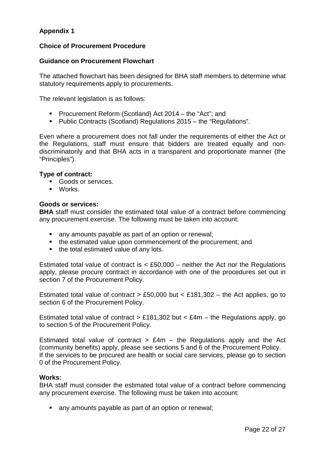# **Appendix 1**

# **Choice of Procurement Procedure**

## **Guidance on Procurement Flowchart**

The attached flowchart has been designed for BHA staff members to determine what statutory requirements apply to procurements.

The relevant legislation is as follows:

- **Procurement Reform (Scotland) Act 2014 the "Act"; and**
- Public Contracts (Scotland) Regulations 2015 the "Regulations".

Even where a procurement does not fall under the requirements of either the Act or the Regulations, staff must ensure that bidders are treated equally and nondiscriminatorily and that BHA acts in a transparent and proportionate manner (the "Principles").

#### **Type of contract:**

- Goods or services.
- **Norks**

#### **Goods or services:**

**BHA** staff must consider the estimated total value of a contract before commencing any procurement exercise. The following must be taken into account:

- any amounts payable as part of an option or renewal;
- the estimated value upon commencement of the procurement; and
- the total estimated value of any lots.

Estimated total value of contract is  $\lt$  £50,000 – neither the Act nor the Regulations apply, please procure contract in accordance with one of the procedures set out in section 7 of the Procurement Policy.

Estimated total value of contract  $> \text{\pounds}50,000$  but  $< \text{\pounds}181,302$  – the Act applies, go to section 6 of the Procurement Policy.

Estimated total value of contract  $> \pounds 181,302$  but  $< \pounds 4m$  – the Regulations apply, go to section 5 of the Procurement Policy.

Estimated total value of contract  $>$  £4m – the Regulations apply and the Act (community benefits) apply, please see sections 5 and 6 of the Procurement Policy. If the services to be procured are health or social care services, please go to section 0 of the Procurement Policy.

#### **Works:**

BHA staff must consider the estimated total value of a contract before commencing any procurement exercise. The following must be taken into account:

any amounts payable as part of an option or renewal;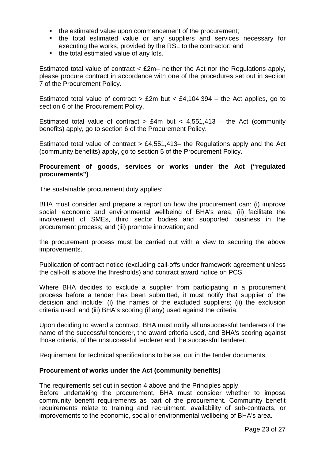- the estimated value upon commencement of the procurement;
- **the total estimated value or any suppliers and services necessary for** executing the works, provided by the RSL to the contractor; and
- the total estimated value of any lots.

Estimated total value of contract  $\langle$  £2m– neither the Act nor the Regulations apply, please procure contract in accordance with one of the procedures set out in section 7 of the Procurement Policy.

Estimated total value of contract  $>$  £2m but  $<$  £4,104,394 – the Act applies, go to section 6 of the Procurement Policy.

Estimated total value of contract  $> \text{\pounds}4m$  but  $< 4,551,413 -$  the Act (community benefits) apply, go to section 6 of the Procurement Policy.

Estimated total value of contract  $> \text{\pounds}4,551,413-$  the Regulations apply and the Act (community benefits) apply, go to section 5 of the Procurement Policy.

# **Procurement of goods, services or works under the Act ("regulated procurements")**

The sustainable procurement duty applies:

BHA must consider and prepare a report on how the procurement can: (i) improve social, economic and environmental wellbeing of BHA's area; (ii) facilitate the involvement of SMEs, third sector bodies and supported business in the procurement process; and (iii) promote innovation; and

the procurement process must be carried out with a view to securing the above improvements.

Publication of contract notice (excluding call‐offs under framework agreement unless the call-off is above the thresholds) and contract award notice on PCS.

Where BHA decides to exclude a supplier from participating in a procurement process before a tender has been submitted, it must notify that supplier of the decision and include: (i) the names of the excluded suppliers; (ii) the exclusion criteria used; and (iii) BHA's scoring (if any) used against the criteria.

Upon deciding to award a contract, BHA must notify all unsuccessful tenderers of the name of the successful tenderer, the award criteria used, and BHA's scoring against those criteria, of the unsuccessful tenderer and the successful tenderer.

Requirement for technical specifications to be set out in the tender documents.

## **Procurement of works under the Act (community benefits)**

The requirements set out in section 4 above and the Principles apply.

Before undertaking the procurement, BHA must consider whether to impose community benefit requirements as part of the procurement. Community benefit requirements relate to training and recruitment, availability of sub-contracts, or improvements to the economic, social or environmental wellbeing of BHA's area.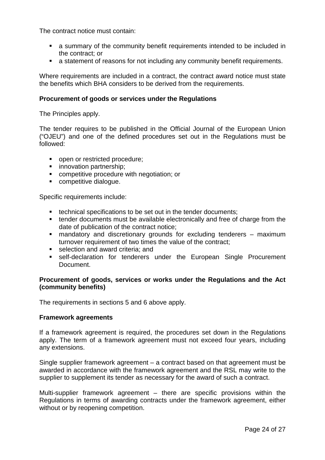The contract notice must contain:

- a summary of the community benefit requirements intended to be included in the contract; or
- a statement of reasons for not including any community benefit requirements.

Where requirements are included in a contract, the contract award notice must state the benefits which BHA considers to be derived from the requirements.

#### **Procurement of goods or services under the Regulations**

The Principles apply.

The tender requires to be published in the Official Journal of the European Union ("OJEU") and one of the defined procedures set out in the Regulations must be followed:

- open or restricted procedure;
- **·** innovation partnership;
- competitive procedure with negotiation; or
- **•** competitive dialogue.

Specific requirements include:

- **technical specifications to be set out in the tender documents;**
- tender documents must be available electronically and free of charge from the date of publication of the contract notice;
- mandatory and discretionary grounds for excluding tenderers maximum turnover requirement of two times the value of the contract;
- selection and award criteria: and
- self-declaration for tenderers under the European Single Procurement **Document**

## **Procurement of goods, services or works under the Regulations and the Act (community benefits)**

The requirements in sections 5 and 6 above apply.

#### **Framework agreements**

If a framework agreement is required, the procedures set down in the Regulations apply. The term of a framework agreement must not exceed four years, including any extensions.

Single supplier framework agreement – a contract based on that agreement must be awarded in accordance with the framework agreement and the RSL may write to the supplier to supplement its tender as necessary for the award of such a contract.

Multi-supplier framework agreement – there are specific provisions within the Regulations in terms of awarding contracts under the framework agreement, either without or by reopening competition.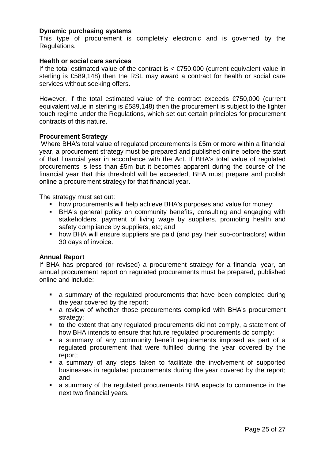#### **Dynamic purchasing systems**

This type of procurement is completely electronic and is governed by the Regulations.

#### **Health or social care services**

If the total estimated value of the contract is  $\leq$   $\epsilon$ 750,000 (current equivalent value in sterling is £589,148) then the RSL may award a contract for health or social care services without seeking offers.

However, if the total estimated value of the contract exceeds €750,000 (current equivalent value in sterling is £589,148) then the procurement is subject to the lighter touch regime under the Regulations, which set out certain principles for procurement contracts of this nature.

#### **Procurement Strategy**

Where BHA's total value of regulated procurements is £5m or more within a financial year, a procurement strategy must be prepared and published online before the start of that financial year in accordance with the Act. If BHA's total value of regulated procurements is less than £5m but it becomes apparent during the course of the financial year that this threshold will be exceeded, BHA must prepare and publish online a procurement strategy for that financial year.

The strategy must set out:

- **•** how procurements will help achieve BHA's purposes and value for money;
- **BHA's general policy on community benefits, consulting and engaging with** stakeholders, payment of living wage by suppliers, promoting health and safety compliance by suppliers, etc; and
- how BHA will ensure suppliers are paid (and pay their sub-contractors) within 30 days of invoice.

#### **Annual Report**

If BHA has prepared (or revised) a procurement strategy for a financial year, an annual procurement report on regulated procurements must be prepared, published online and include:

- a summary of the regulated procurements that have been completed during the year covered by the report;
- a review of whether those procurements complied with BHA's procurement strategy:
- to the extent that any regulated procurements did not comply, a statement of how BHA intends to ensure that future regulated procurements do comply;
- a summary of any community benefit requirements imposed as part of a regulated procurement that were fulfilled during the year covered by the report;
- a summary of any steps taken to facilitate the involvement of supported businesses in regulated procurements during the year covered by the report; and
- a summary of the regulated procurements BHA expects to commence in the next two financial years.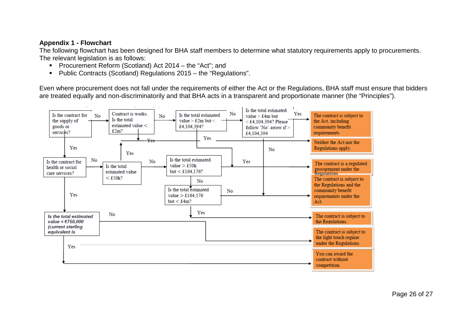# **Appendix 1 - Flowchart**

The following flowchart has been designed for BHA staff members to determine what statutory requirements apply to procurements. The relevant legislation is as follows:

- **Procurement Reform (Scotland) Act 2014 the "Act"; and**
- Public Contracts (Scotland) Regulations 2015 the "Regulations".

Even where procurement does not fall under the requirements of either the Act or the Regulations, BHA staff must ensure that bidders are treated equally and non-discriminatorily and that BHA acts in a transparent and proportionate manner (the "Principles").